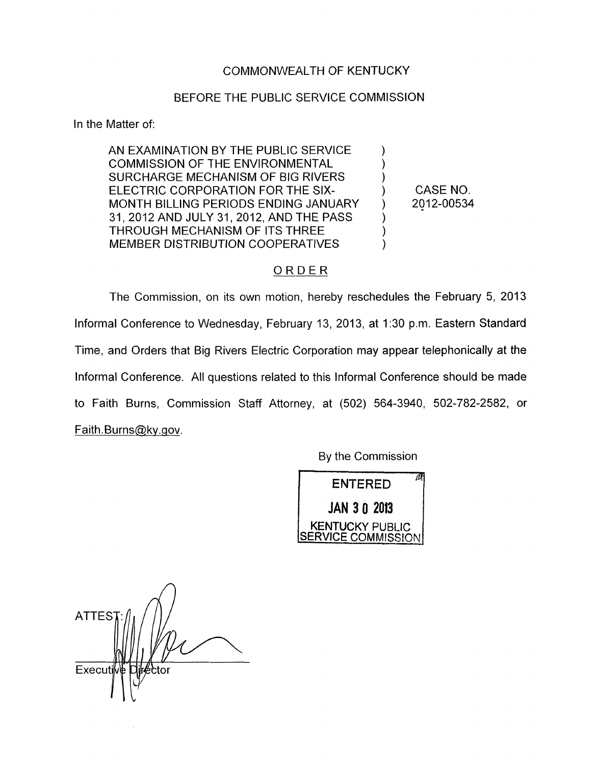## COMMONWEALTH OF KENTUCKY

## BEFORE THE PUBLIC SERVICE COMMISSION

In the Matter of:

AN EXAMINATION BY THE PUBLIC SERVICE COMMISSION OF THE ENVIRONMENTAL SURCHARGE MECHANISM OF BIG RIVERS ELECTRIC CORPORATION FOR THE SIX- (CASE NO. MONTH BILLING PERIODS ENDING JANUARY ) 2012-00534 31,2012 AND JULY 31, 2012, AND THE PASS ) THROUGH MECHANISM OF ITS THREE ) MEMBER DISTRIBUTION COOPERATIVES  $\qquad \qquad$ ND THE PA<br>"S THREE<br>PERATIVES<br><u>O R D E R</u>

The Commission, on its own motion, hereby reschedules the February 5, 2013 Informal Conference to Wednesday, February 13, 2013, at 1:30 p.m. Eastern Standard Time, and Orders that Big Rivers Electric Corporation may appear telephonically at the Informal Conference. All questions related to this Informal Conference should be made to Faith Burns, Commission Staff Attorney, at (502) 564-3940, 502-782-2582, or Faith Burns@ky.gov.

By the Commission



*A* **ATTES** Executi ctor